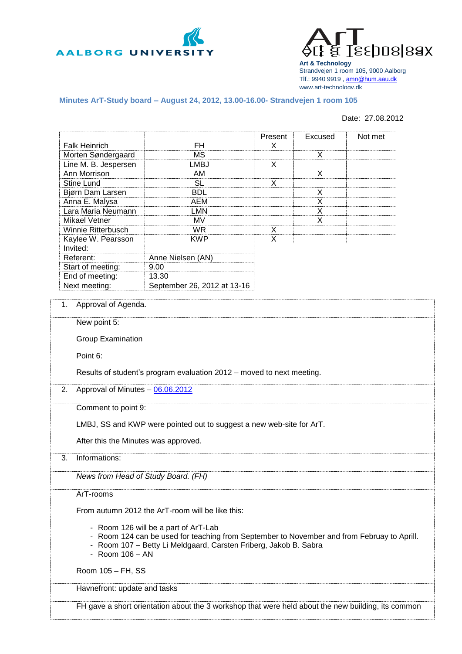



**Art & Technology** Strandvejen 1 room 105, 9000 Aalborg Tlf.: 9940 9919 , [amn@hum.aau.dk](mailto:amn@hum.aau.dk) www.art-technology.dk

## **Minutes ArT-Study board – August 24, 2012, 13.00-16.00- Strandvejen 1 room 105**

## Date: 27.08.2012

|                                      |                                                                      |                                                                                                    | Present | Excused | Not met |  |
|--------------------------------------|----------------------------------------------------------------------|----------------------------------------------------------------------------------------------------|---------|---------|---------|--|
|                                      | <b>Falk Heinrich</b>                                                 | <b>FH</b>                                                                                          | X       |         |         |  |
| Morten Søndergaard                   |                                                                      | <b>MS</b>                                                                                          |         | X       |         |  |
| Line M. B. Jespersen                 |                                                                      | LMBJ                                                                                               | X       |         |         |  |
| Ann Morrison                         |                                                                      | AM                                                                                                 |         | X       |         |  |
| <b>Stine Lund</b>                    |                                                                      | <b>SL</b>                                                                                          | X       |         |         |  |
| Bjørn Dam Larsen                     |                                                                      | <b>BDL</b>                                                                                         |         | X       |         |  |
| Anna E. Malysa                       |                                                                      | AEM                                                                                                |         | X       |         |  |
|                                      | Lara Maria Neumann                                                   | <b>LMN</b>                                                                                         |         | X       |         |  |
| <b>Mikael Vetner</b>                 |                                                                      | MV                                                                                                 |         | X       |         |  |
|                                      | Winnie Ritterbusch                                                   | <b>WR</b>                                                                                          | X       |         |         |  |
|                                      | Kaylee W. Pearsson                                                   | <b>KWP</b>                                                                                         | X       |         |         |  |
|                                      | Invited:                                                             |                                                                                                    |         |         |         |  |
|                                      | Referent:                                                            | Anne Nielsen (AN)                                                                                  |         |         |         |  |
|                                      | Start of meeting:                                                    | 9.00                                                                                               |         |         |         |  |
|                                      | End of meeting:                                                      | 13.30                                                                                              |         |         |         |  |
|                                      | Next meeting:                                                        | September 26, 2012 at 13-16                                                                        |         |         |         |  |
|                                      |                                                                      |                                                                                                    |         |         |         |  |
| 1.                                   | Approval of Agenda.                                                  |                                                                                                    |         |         |         |  |
|                                      | New point 5:                                                         |                                                                                                    |         |         |         |  |
|                                      | <b>Group Examination</b>                                             |                                                                                                    |         |         |         |  |
|                                      |                                                                      |                                                                                                    |         |         |         |  |
|                                      | Point 6:                                                             |                                                                                                    |         |         |         |  |
|                                      |                                                                      |                                                                                                    |         |         |         |  |
|                                      |                                                                      | Results of student's program evaluation 2012 - moved to next meeting.                              |         |         |         |  |
| 2.                                   | Approval of Minutes - 06.06.2012                                     |                                                                                                    |         |         |         |  |
|                                      |                                                                      |                                                                                                    |         |         |         |  |
|                                      | Comment to point 9:                                                  |                                                                                                    |         |         |         |  |
|                                      | LMBJ, SS and KWP were pointed out to suggest a new web-site for ArT. |                                                                                                    |         |         |         |  |
|                                      |                                                                      |                                                                                                    |         |         |         |  |
|                                      | After this the Minutes was approved.                                 |                                                                                                    |         |         |         |  |
|                                      |                                                                      |                                                                                                    |         |         |         |  |
| 3.                                   | Informations:                                                        |                                                                                                    |         |         |         |  |
|                                      | News from Head of Study Board. (FH)                                  |                                                                                                    |         |         |         |  |
|                                      |                                                                      |                                                                                                    |         |         |         |  |
|                                      | ArT-rooms                                                            |                                                                                                    |         |         |         |  |
|                                      | From autumn 2012 the ArT-room will be like this:                     |                                                                                                    |         |         |         |  |
| - Room 126 will be a part of ArT-Lab |                                                                      |                                                                                                    |         |         |         |  |
|                                      |                                                                      |                                                                                                    |         |         |         |  |
|                                      |                                                                      | - Room 124 can be used for teaching from September to November and from Februay to Aprill.         |         |         |         |  |
|                                      |                                                                      | - Room 107 - Betty Li Meldgaard, Carsten Friberg, Jakob B. Sabra                                   |         |         |         |  |
|                                      | - Room $106 - AN$                                                    |                                                                                                    |         |         |         |  |
|                                      | Room 105 - FH, SS                                                    |                                                                                                    |         |         |         |  |
|                                      |                                                                      |                                                                                                    |         |         |         |  |
|                                      | Havnefront: update and tasks                                         |                                                                                                    |         |         |         |  |
|                                      |                                                                      | FH gave a short orientation about the 3 workshop that were held about the new building, its common |         |         |         |  |
|                                      |                                                                      |                                                                                                    |         |         |         |  |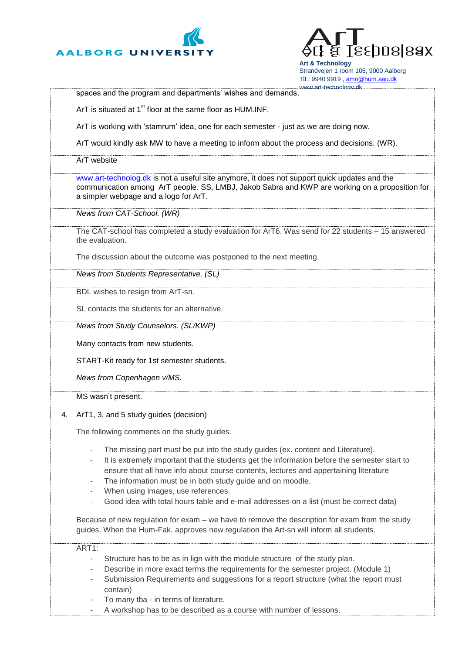



**Art & Technology** Strandvejen 1 room 105, 9000 Aalborg Tlf.: 9940 9919 , [amn@hum.aau.dk](mailto:amn@hum.aau.dk)

|    | www.art-technology.dk                                                                                                                                                                                                                                                                                                                                                                                                                                                                  |  |  |  |  |
|----|----------------------------------------------------------------------------------------------------------------------------------------------------------------------------------------------------------------------------------------------------------------------------------------------------------------------------------------------------------------------------------------------------------------------------------------------------------------------------------------|--|--|--|--|
|    | spaces and the program and departments' wishes and demands.                                                                                                                                                                                                                                                                                                                                                                                                                            |  |  |  |  |
|    | ArT is situated at 1 <sup>st</sup> floor at the same floor as HUM.INF.                                                                                                                                                                                                                                                                                                                                                                                                                 |  |  |  |  |
|    | ArT is working with 'stamrum' idea, one for each semester - just as we are doing now.                                                                                                                                                                                                                                                                                                                                                                                                  |  |  |  |  |
|    | ArT would kindly ask MW to have a meeting to inform about the process and decisions. (WR).                                                                                                                                                                                                                                                                                                                                                                                             |  |  |  |  |
|    | ArT website                                                                                                                                                                                                                                                                                                                                                                                                                                                                            |  |  |  |  |
|    | www.art-technolog.dk is not a useful site anymore, it does not support quick updates and the<br>communication among ArT people. SS, LMBJ, Jakob Sabra and KWP are working on a proposition for<br>a simpler webpage and a logo for ArT.                                                                                                                                                                                                                                                |  |  |  |  |
|    | News from CAT-School. (WR)                                                                                                                                                                                                                                                                                                                                                                                                                                                             |  |  |  |  |
|    | The CAT-school has completed a study evaluation for ArT6. Was send for 22 students - 15 answered<br>the evaluation.                                                                                                                                                                                                                                                                                                                                                                    |  |  |  |  |
|    | The discussion about the outcome was postponed to the next meeting.                                                                                                                                                                                                                                                                                                                                                                                                                    |  |  |  |  |
|    | News from Students Representative. (SL)                                                                                                                                                                                                                                                                                                                                                                                                                                                |  |  |  |  |
|    | BDL wishes to resign from ArT-sn.                                                                                                                                                                                                                                                                                                                                                                                                                                                      |  |  |  |  |
|    | SL contacts the students for an alternative.                                                                                                                                                                                                                                                                                                                                                                                                                                           |  |  |  |  |
|    | News from Study Counselors. (SL/KWP)                                                                                                                                                                                                                                                                                                                                                                                                                                                   |  |  |  |  |
|    | Many contacts from new students.                                                                                                                                                                                                                                                                                                                                                                                                                                                       |  |  |  |  |
|    | START-Kit ready for 1st semester students.                                                                                                                                                                                                                                                                                                                                                                                                                                             |  |  |  |  |
|    | News from Copenhagen v/MS.                                                                                                                                                                                                                                                                                                                                                                                                                                                             |  |  |  |  |
|    | MS wasn't present.                                                                                                                                                                                                                                                                                                                                                                                                                                                                     |  |  |  |  |
| 4. | ArT1, 3, and 5 study guides (decision)                                                                                                                                                                                                                                                                                                                                                                                                                                                 |  |  |  |  |
|    | The following comments on the study guides.                                                                                                                                                                                                                                                                                                                                                                                                                                            |  |  |  |  |
|    | The missing part must be put into the study guides (ex. content and Literature).<br>$\overline{\phantom{0}}$<br>It is extremely important that the students get the information before the semester start to<br>$\overline{\phantom{0}}$<br>ensure that all have info about course contents, lectures and appertaining literature<br>The information must be in both study guide and on moodle.<br>$\qquad \qquad -$<br>When using images, use references.<br>$\overline{\phantom{0}}$ |  |  |  |  |
|    | Good idea with total hours table and e-mail addresses on a list (must be correct data)<br>$\overline{\phantom{0}}$                                                                                                                                                                                                                                                                                                                                                                     |  |  |  |  |
|    | Because of new regulation for exam – we have to remove the description for exam from the study<br>guides. When the Hum-Fak. approves new regulation the Art-sn will inform all students.                                                                                                                                                                                                                                                                                               |  |  |  |  |
|    | ART1:<br>Structure has to be as in lign with the module structure of the study plan.<br>$\overline{\phantom{0}}$<br>Describe in more exact terms the requirements for the semester project. (Module 1)<br>۰<br>Submission Requirements and suggestions for a report structure (what the report must<br>-<br>contain)<br>To many tba - in terms of literature.<br>A workshop has to be described as a course with number of lessons.                                                    |  |  |  |  |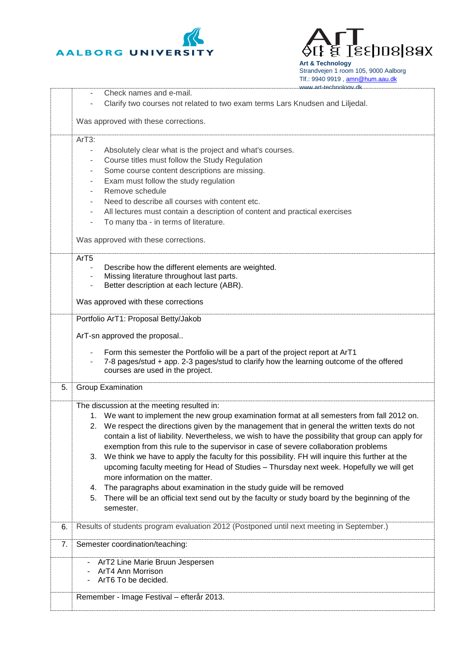



**Art & Technology** Strandvejen 1 room 105, 9000 Aalborg Tlf.: 9940 9919, [amn@hum.aau.dk](mailto:amn@hum.aau.dk)

|    | www.art-technology.dk                                                                                                       |  |  |  |  |
|----|-----------------------------------------------------------------------------------------------------------------------------|--|--|--|--|
|    | Check names and e-mail.                                                                                                     |  |  |  |  |
|    | Clarify two courses not related to two exam terms Lars Knudsen and Liljedal.                                                |  |  |  |  |
|    | Was approved with these corrections.                                                                                        |  |  |  |  |
|    | ArT3:                                                                                                                       |  |  |  |  |
|    |                                                                                                                             |  |  |  |  |
|    | Absolutely clear what is the project and what's courses.<br>$\sim$                                                          |  |  |  |  |
|    | Course titles must follow the Study Regulation<br>$\overline{\phantom{a}}$                                                  |  |  |  |  |
|    | Some course content descriptions are missing.<br>٠                                                                          |  |  |  |  |
|    | Exam must follow the study regulation<br>$\sim$                                                                             |  |  |  |  |
|    | Remove schedule                                                                                                             |  |  |  |  |
|    | Need to describe all courses with content etc.                                                                              |  |  |  |  |
|    | All lectures must contain a description of content and practical exercises                                                  |  |  |  |  |
|    | To many tba - in terms of literature.<br>$\sim$                                                                             |  |  |  |  |
|    |                                                                                                                             |  |  |  |  |
|    | Was approved with these corrections.                                                                                        |  |  |  |  |
|    | ArT <sub>5</sub>                                                                                                            |  |  |  |  |
|    | Describe how the different elements are weighted.                                                                           |  |  |  |  |
|    | Missing literature throughout last parts.                                                                                   |  |  |  |  |
|    | Better description at each lecture (ABR).                                                                                   |  |  |  |  |
|    |                                                                                                                             |  |  |  |  |
|    | Was approved with these corrections                                                                                         |  |  |  |  |
|    | Portfolio ArT1: Proposal Betty/Jakob                                                                                        |  |  |  |  |
|    | ArT-sn approved the proposal                                                                                                |  |  |  |  |
|    |                                                                                                                             |  |  |  |  |
|    | Form this semester the Portfolio will be a part of the project report at ArT1<br>$\overline{\phantom{a}}$                   |  |  |  |  |
|    | 7-8 pages/stud + app. 2-3 pages/stud to clarify how the learning outcome of the offered<br>courses are used in the project. |  |  |  |  |
|    |                                                                                                                             |  |  |  |  |
| 5. | <b>Group Examination</b>                                                                                                    |  |  |  |  |
|    | The discussion at the meeting resulted in:                                                                                  |  |  |  |  |
|    | 1. We want to implement the new group examination format at all semesters from fall 2012 on.                                |  |  |  |  |
|    | 2. We respect the directions given by the management that in general the written texts do not                               |  |  |  |  |
|    | contain a list of liability. Nevertheless, we wish to have the possibility that group can apply for                         |  |  |  |  |
|    | exemption from this rule to the supervisor in case of severe collaboration problems                                         |  |  |  |  |
|    | We think we have to apply the faculty for this possibility. FH will inquire this further at the<br>3.                       |  |  |  |  |
|    | upcoming faculty meeting for Head of Studies - Thursday next week. Hopefully we will get                                    |  |  |  |  |
|    |                                                                                                                             |  |  |  |  |
|    | more information on the matter.                                                                                             |  |  |  |  |
|    | The paragraphs about examination in the study guide will be removed<br>4.                                                   |  |  |  |  |
|    | There will be an official text send out by the faculty or study board by the beginning of the<br>5.                         |  |  |  |  |
|    | semester.                                                                                                                   |  |  |  |  |
| 6. | Results of students program evaluation 2012 (Postponed until next meeting in September.)                                    |  |  |  |  |
|    |                                                                                                                             |  |  |  |  |
| 7. | Semester coordination/teaching:                                                                                             |  |  |  |  |
|    | ArT2 Line Marie Bruun Jespersen                                                                                             |  |  |  |  |
|    | ArT4 Ann Morrison                                                                                                           |  |  |  |  |
|    | ArT6 To be decided.                                                                                                         |  |  |  |  |
|    | Remember - Image Festival - efterår 2013.                                                                                   |  |  |  |  |
|    |                                                                                                                             |  |  |  |  |